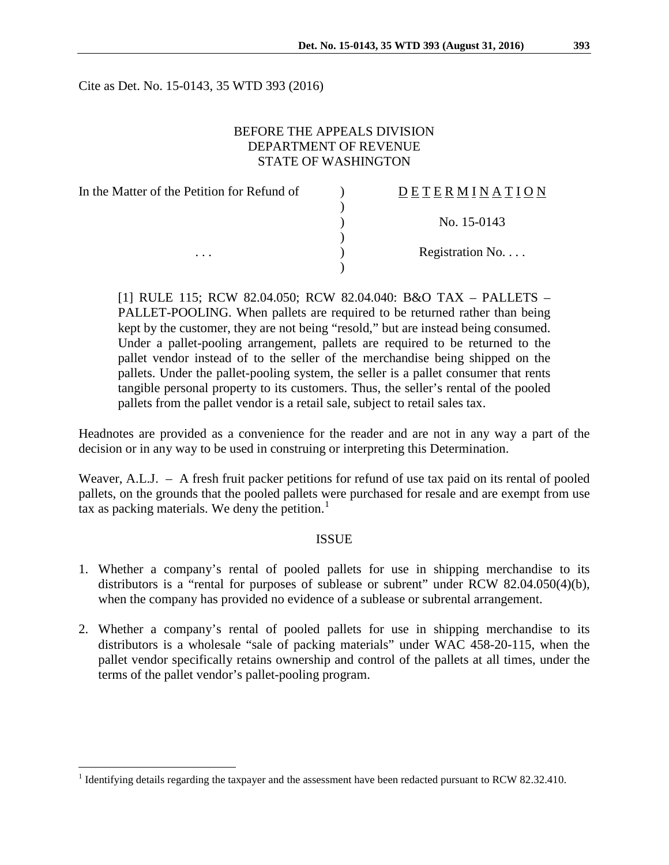Cite as Det. No. 15-0143, 35 WTD 393 (2016)

# BEFORE THE APPEALS DIVISION DEPARTMENT OF REVENUE STATE OF WASHINGTON

| In the Matter of the Petition for Refund of | DETERMINATION   |
|---------------------------------------------|-----------------|
|                                             |                 |
|                                             | No. $15-0143$   |
|                                             |                 |
| $\cdots$                                    | Registration No |
|                                             |                 |

[1] RULE 115; RCW 82.04.050; RCW 82.04.040: B&O TAX – PALLETS – PALLET-POOLING. When pallets are required to be returned rather than being kept by the customer, they are not being "resold," but are instead being consumed. Under a pallet-pooling arrangement, pallets are required to be returned to the pallet vendor instead of to the seller of the merchandise being shipped on the pallets. Under the pallet-pooling system, the seller is a pallet consumer that rents tangible personal property to its customers. Thus, the seller's rental of the pooled pallets from the pallet vendor is a retail sale, subject to retail sales tax.

Headnotes are provided as a convenience for the reader and are not in any way a part of the decision or in any way to be used in construing or interpreting this Determination.

Weaver, A.L.J. – A fresh fruit packer petitions for refund of use tax paid on its rental of pooled pallets, on the grounds that the pooled pallets were purchased for resale and are exempt from use tax as packing materials. We deny the petition.<sup>[1](#page-0-0)</sup>

## ISSUE

- 1. Whether a company's rental of pooled pallets for use in shipping merchandise to its distributors is a "rental for purposes of sublease or subrent" under RCW 82.04.050(4)(b), when the company has provided no evidence of a sublease or subrental arrangement.
- 2. Whether a company's rental of pooled pallets for use in shipping merchandise to its distributors is a wholesale "sale of packing materials" under WAC 458-20-115, when the pallet vendor specifically retains ownership and control of the pallets at all times, under the terms of the pallet vendor's pallet-pooling program.

<span id="page-0-0"></span><sup>&</sup>lt;sup>1</sup> Identifying details regarding the taxpayer and the assessment have been redacted pursuant to RCW 82.32.410.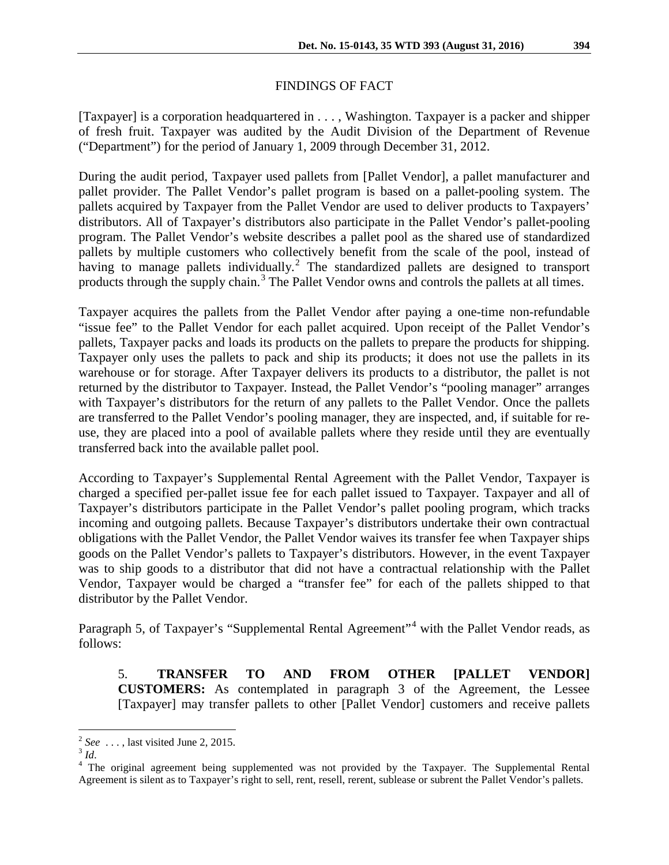# FINDINGS OF FACT

[Taxpayer] is a corporation headquartered in . . . , Washington. Taxpayer is a packer and shipper of fresh fruit. Taxpayer was audited by the Audit Division of the Department of Revenue ("Department") for the period of January 1, 2009 through December 31, 2012.

During the audit period, Taxpayer used pallets from [Pallet Vendor], a pallet manufacturer and pallet provider. The Pallet Vendor's pallet program is based on a pallet-pooling system. The pallets acquired by Taxpayer from the Pallet Vendor are used to deliver products to Taxpayers' distributors. All of Taxpayer's distributors also participate in the Pallet Vendor's pallet-pooling program. The Pallet Vendor's website describes a pallet pool as the shared use of standardized pallets by multiple customers who collectively benefit from the scale of the pool, instead of having to manage pallets individually.<sup>[2](#page-1-0)</sup> The standardized pallets are designed to transport products through the supply chain.<sup>[3](#page-1-1)</sup> The Pallet Vendor owns and controls the pallets at all times.

Taxpayer acquires the pallets from the Pallet Vendor after paying a one-time non-refundable "issue fee" to the Pallet Vendor for each pallet acquired. Upon receipt of the Pallet Vendor's pallets, Taxpayer packs and loads its products on the pallets to prepare the products for shipping. Taxpayer only uses the pallets to pack and ship its products; it does not use the pallets in its warehouse or for storage. After Taxpayer delivers its products to a distributor, the pallet is not returned by the distributor to Taxpayer. Instead, the Pallet Vendor's "pooling manager" arranges with Taxpayer's distributors for the return of any pallets to the Pallet Vendor. Once the pallets are transferred to the Pallet Vendor's pooling manager, they are inspected, and, if suitable for reuse, they are placed into a pool of available pallets where they reside until they are eventually transferred back into the available pallet pool.

According to Taxpayer's Supplemental Rental Agreement with the Pallet Vendor, Taxpayer is charged a specified per-pallet issue fee for each pallet issued to Taxpayer. Taxpayer and all of Taxpayer's distributors participate in the Pallet Vendor's pallet pooling program, which tracks incoming and outgoing pallets. Because Taxpayer's distributors undertake their own contractual obligations with the Pallet Vendor, the Pallet Vendor waives its transfer fee when Taxpayer ships goods on the Pallet Vendor's pallets to Taxpayer's distributors. However, in the event Taxpayer was to ship goods to a distributor that did not have a contractual relationship with the Pallet Vendor, Taxpayer would be charged a "transfer fee" for each of the pallets shipped to that distributor by the Pallet Vendor.

Paragraph 5, of Taxpayer's "Supplemental Rental Agreement"<sup>[4](#page-1-2)</sup> with the Pallet Vendor reads, as follows:

5. **TRANSFER TO AND FROM OTHER [PALLET VENDOR] CUSTOMERS:** As contemplated in paragraph 3 of the Agreement, the Lessee [Taxpayer] may transfer pallets to other [Pallet Vendor] customers and receive pallets

<span id="page-1-0"></span>

<span id="page-1-2"></span><span id="page-1-1"></span>

<sup>&</sup>lt;sup>2</sup> See ..., last visited June 2, 2015.<br><sup>3</sup> *Id*. <sup>4</sup> The original agreement being supplemented was not provided by the Taxpayer. The Supplemental Rental <sup>4</sup> Agreement is silent as to Taxpayer's right to sell, rent, resell, rerent, sublease or subrent the Pallet Vendor's pallets.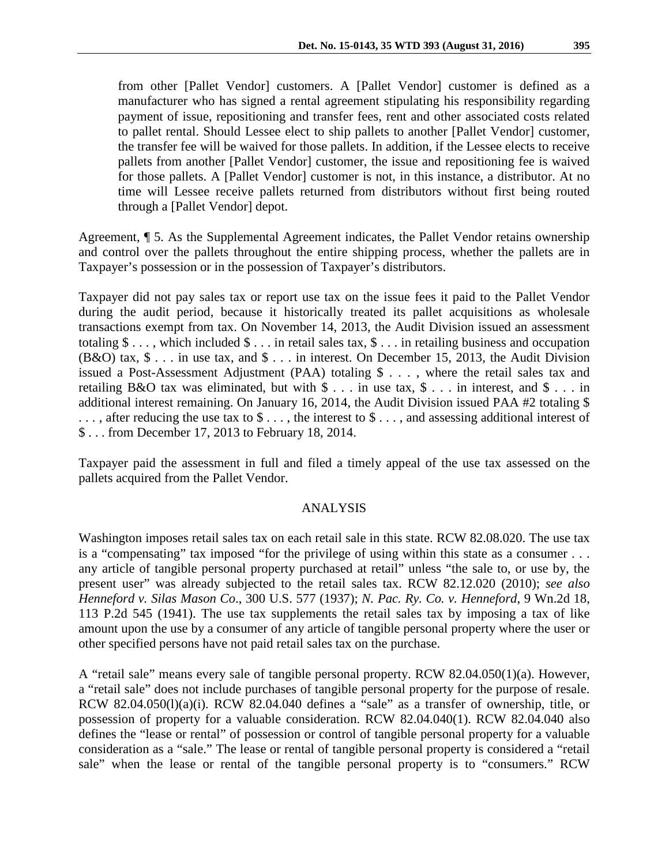from other [Pallet Vendor] customers. A [Pallet Vendor] customer is defined as a manufacturer who has signed a rental agreement stipulating his responsibility regarding payment of issue, repositioning and transfer fees, rent and other associated costs related to pallet rental. Should Lessee elect to ship pallets to another [Pallet Vendor] customer, the transfer fee will be waived for those pallets. In addition, if the Lessee elects to receive pallets from another [Pallet Vendor] customer, the issue and repositioning fee is waived

for those pallets. A [Pallet Vendor] customer is not, in this instance, a distributor. At no time will Lessee receive pallets returned from distributors without first being routed through a [Pallet Vendor] depot.

Agreement, ¶ 5. As the Supplemental Agreement indicates, the Pallet Vendor retains ownership and control over the pallets throughout the entire shipping process, whether the pallets are in Taxpayer's possession or in the possession of Taxpayer's distributors.

Taxpayer did not pay sales tax or report use tax on the issue fees it paid to the Pallet Vendor during the audit period, because it historically treated its pallet acquisitions as wholesale transactions exempt from tax. On November 14, 2013, the Audit Division issued an assessment totaling  $\$\ldots$ , which included  $\$\ldots$  in retail sales tax,  $\$\ldots$  in retailing business and occupation (B&O) tax, \$ . . . in use tax, and \$ . . . in interest. On December 15, 2013, the Audit Division issued a Post-Assessment Adjustment (PAA) totaling \$ . . . , where the retail sales tax and retailing B&O tax was eliminated, but with  $\frac{1}{2}$ ... in use tax,  $\frac{1}{2}$ ... in interest, and  $\frac{1}{2}$ ... in additional interest remaining. On January 16, 2014, the Audit Division issued PAA #2 totaling \$ . . . , after reducing the use tax to \$ . . . , the interest to \$ . . . , and assessing additional interest of \$ . . . from December 17, 2013 to February 18, 2014.

Taxpayer paid the assessment in full and filed a timely appeal of the use tax assessed on the pallets acquired from the Pallet Vendor.

#### ANALYSIS

Washington imposes retail sales tax on each retail sale in this state. RCW 82.08.020. The use tax is a "compensating" tax imposed "for the privilege of using within this state as a consumer . . . any article of tangible personal property purchased at retail" unless "the sale to, or use by, the present user" was already subjected to the retail sales tax. RCW 82.12.020 (2010); *see also Henneford v. Silas Mason Co*., 300 U.S. 577 (1937); *N. Pac. Ry. Co. v. Henneford*, 9 Wn.2d 18, 113 P.2d 545 (1941). The use tax supplements the retail sales tax by imposing a tax of like amount upon the use by a consumer of any article of tangible personal property where the user or other specified persons have not paid retail sales tax on the purchase.

A "retail sale" means every sale of tangible personal property. RCW 82.04.050(1)(a). However, a "retail sale" does not include purchases of tangible personal property for the purpose of resale. RCW 82.04.050(l)(a)(i). RCW 82.04.040 defines a "sale" as a transfer of ownership, title, or possession of property for a valuable consideration. RCW 82.04.040(1). RCW 82.04.040 also defines the "lease or rental" of possession or control of tangible personal property for a valuable consideration as a "sale." The lease or rental of tangible personal property is considered a "retail sale" when the lease or rental of the tangible personal property is to "consumers." RCW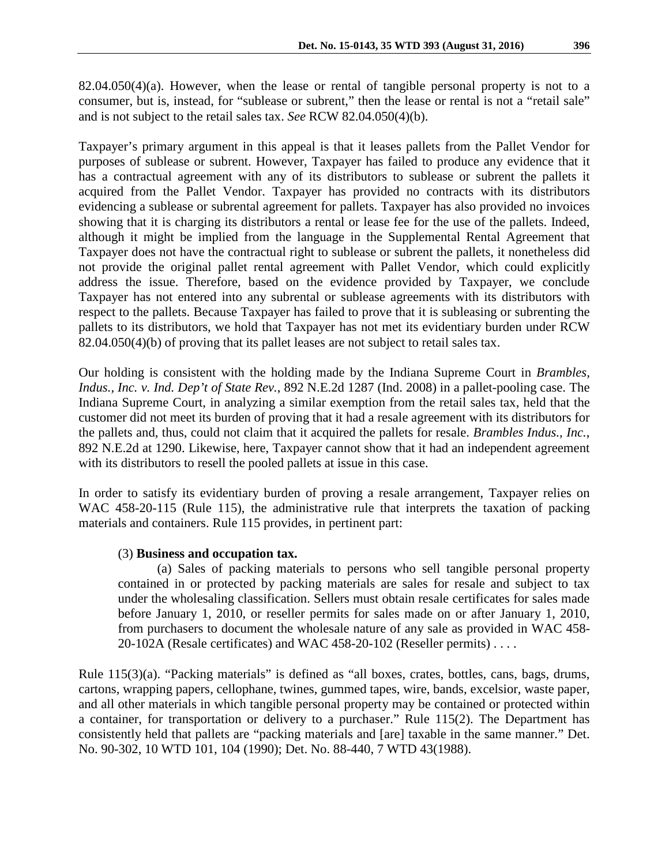Taxpayer's primary argument in this appeal is that it leases pallets from the Pallet Vendor for purposes of sublease or subrent. However, Taxpayer has failed to produce any evidence that it has a contractual agreement with any of its distributors to sublease or subrent the pallets it acquired from the Pallet Vendor. Taxpayer has provided no contracts with its distributors evidencing a sublease or subrental agreement for pallets. Taxpayer has also provided no invoices showing that it is charging its distributors a rental or lease fee for the use of the pallets. Indeed, although it might be implied from the language in the Supplemental Rental Agreement that Taxpayer does not have the contractual right to sublease or subrent the pallets, it nonetheless did not provide the original pallet rental agreement with Pallet Vendor, which could explicitly address the issue. Therefore, based on the evidence provided by Taxpayer, we conclude Taxpayer has not entered into any subrental or sublease agreements with its distributors with respect to the pallets. Because Taxpayer has failed to prove that it is subleasing or subrenting the pallets to its distributors, we hold that Taxpayer has not met its evidentiary burden under RCW 82.04.050(4)(b) of proving that its pallet leases are not subject to retail sales tax.

Our holding is consistent with the holding made by the Indiana Supreme Court in *Brambles, Indus., Inc. v. Ind. Dep't of State Rev.*, 892 N.E.2d 1287 (Ind. 2008) in a pallet-pooling case. The Indiana Supreme Court, in analyzing a similar exemption from the retail sales tax, held that the customer did not meet its burden of proving that it had a resale agreement with its distributors for the pallets and, thus, could not claim that it acquired the pallets for resale. *Brambles Indus., Inc.*, 892 N.E.2d at 1290. Likewise, here, Taxpayer cannot show that it had an independent agreement with its distributors to resell the pooled pallets at issue in this case.

In order to satisfy its evidentiary burden of proving a resale arrangement, Taxpayer relies on WAC 458-20-115 (Rule 115), the administrative rule that interprets the taxation of packing materials and containers. Rule 115 provides, in pertinent part:

## (3) **Business and occupation tax.**

(a) Sales of packing materials to persons who sell tangible personal property contained in or protected by packing materials are sales for resale and subject to tax under the wholesaling classification. Sellers must obtain resale certificates for sales made before January 1, 2010, or reseller permits for sales made on or after January 1, 2010, from purchasers to document the wholesale nature of any sale as provided in WAC 458- 20-102A (Resale certificates) and WAC 458-20-102 (Reseller permits) . . . .

Rule 115(3)(a). "Packing materials" is defined as "all boxes, crates, bottles, cans, bags, drums, cartons, wrapping papers, cellophane, twines, gummed tapes, wire, bands, excelsior, waste paper, and all other materials in which tangible personal property may be contained or protected within a container, for transportation or delivery to a purchaser." Rule 115(2). The Department has consistently held that pallets are "packing materials and [are] taxable in the same manner." Det. No. 90-302, 10 WTD 101, 104 (1990); Det. No. 88-440, 7 WTD 43(1988).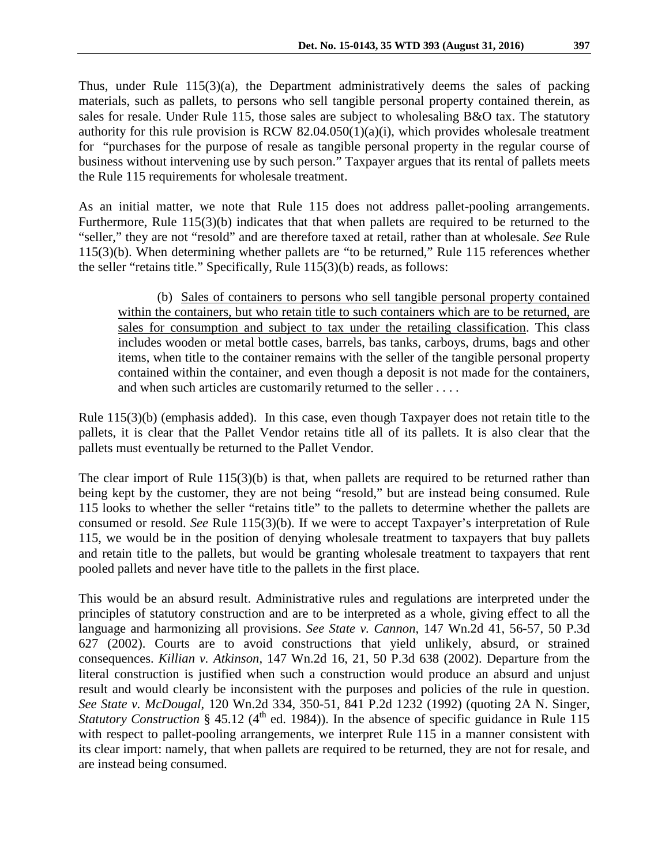Thus, under Rule 115(3)(a), the Department administratively deems the sales of packing materials, such as pallets, to persons who sell tangible personal property contained therein, as sales for resale. Under Rule 115, those sales are subject to wholesaling B&O tax. The statutory authority for this rule provision is RCW 82.04.050(1)(a)(i), which provides wholesale treatment for "purchases for the purpose of resale as tangible personal property in the regular course of business without intervening use by such person." Taxpayer argues that its rental of pallets meets the Rule 115 requirements for wholesale treatment.

As an initial matter, we note that Rule 115 does not address pallet-pooling arrangements. Furthermore, Rule 115(3)(b) indicates that that when pallets are required to be returned to the "seller," they are not "resold" and are therefore taxed at retail, rather than at wholesale. *See* Rule 115(3)(b). When determining whether pallets are "to be returned," Rule 115 references whether the seller "retains title." Specifically, Rule 115(3)(b) reads, as follows:

(b) Sales of containers to persons who sell tangible personal property contained within the containers, but who retain title to such containers which are to be returned, are sales for consumption and subject to tax under the retailing classification. This class includes wooden or metal bottle cases, barrels, bas tanks, carboys, drums, bags and other items, when title to the container remains with the seller of the tangible personal property contained within the container, and even though a deposit is not made for the containers, and when such articles are customarily returned to the seller . . . .

Rule 115(3)(b) (emphasis added). In this case, even though Taxpayer does not retain title to the pallets, it is clear that the Pallet Vendor retains title all of its pallets. It is also clear that the pallets must eventually be returned to the Pallet Vendor.

The clear import of Rule 115(3)(b) is that, when pallets are required to be returned rather than being kept by the customer, they are not being "resold," but are instead being consumed. Rule 115 looks to whether the seller "retains title" to the pallets to determine whether the pallets are consumed or resold. *See* Rule 115(3)(b). If we were to accept Taxpayer's interpretation of Rule 115, we would be in the position of denying wholesale treatment to taxpayers that buy pallets and retain title to the pallets, but would be granting wholesale treatment to taxpayers that rent pooled pallets and never have title to the pallets in the first place.

This would be an absurd result. Administrative rules and regulations are interpreted under the principles of statutory construction and are to be interpreted as a whole, giving effect to all the language and harmonizing all provisions. *See State v. Cannon*, 147 Wn.2d 41, 56-57, 50 P.3d 627 (2002). Courts are to avoid constructions that yield unlikely, absurd, or strained consequences. *Killian v. Atkinson*, 147 Wn.2d 16, 21, 50 P.3d 638 (2002). Departure from the literal construction is justified when such a construction would produce an absurd and unjust result and would clearly be inconsistent with the purposes and policies of the rule in question. *See State v. McDougal*, 120 Wn.2d 334, 350-51, 841 P.2d 1232 (1992) (quoting 2A N. Singer, *Statutory Construction* § 45.12 (4<sup>th</sup> ed. 1984)). In the absence of specific guidance in Rule 115 with respect to pallet-pooling arrangements, we interpret Rule 115 in a manner consistent with its clear import: namely, that when pallets are required to be returned, they are not for resale, and are instead being consumed.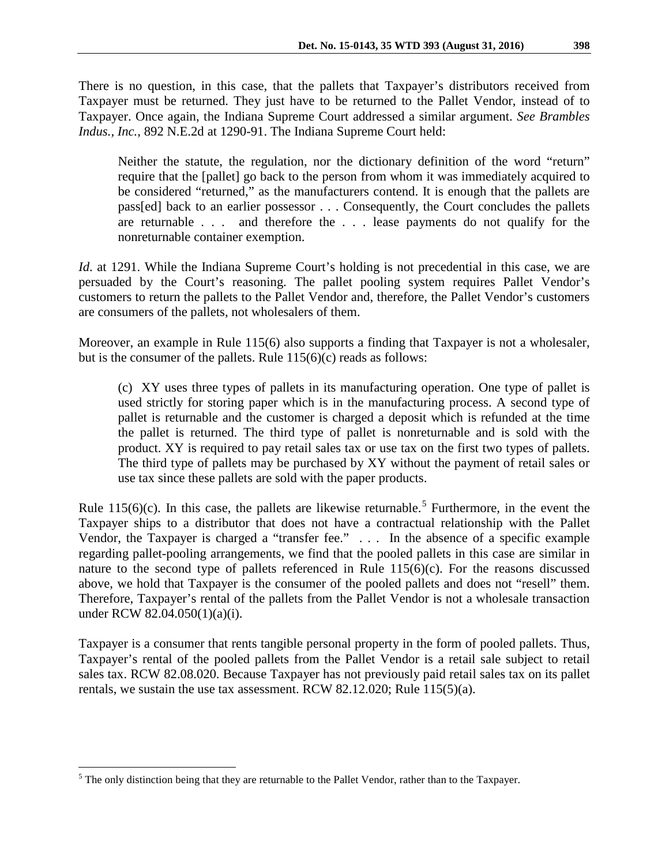There is no question, in this case, that the pallets that Taxpayer's distributors received from Taxpayer must be returned. They just have to be returned to the Pallet Vendor, instead of to Taxpayer. Once again, the Indiana Supreme Court addressed a similar argument. *See Brambles Indus., Inc.*, 892 N.E.2d at 1290-91. The Indiana Supreme Court held:

Neither the statute, the regulation, nor the dictionary definition of the word "return" require that the [pallet] go back to the person from whom it was immediately acquired to be considered "returned," as the manufacturers contend. It is enough that the pallets are pass[ed] back to an earlier possessor . . . Consequently, the Court concludes the pallets are returnable . . . and therefore the . . . lease payments do not qualify for the nonreturnable container exemption.

*Id.* at 1291. While the Indiana Supreme Court's holding is not precedential in this case, we are persuaded by the Court's reasoning. The pallet pooling system requires Pallet Vendor's customers to return the pallets to the Pallet Vendor and, therefore, the Pallet Vendor's customers are consumers of the pallets, not wholesalers of them.

Moreover, an example in Rule 115(6) also supports a finding that Taxpayer is not a wholesaler, but is the consumer of the pallets. Rule 115(6)(c) reads as follows:

(c) XY uses three types of pallets in its manufacturing operation. One type of pallet is used strictly for storing paper which is in the manufacturing process. A second type of pallet is returnable and the customer is charged a deposit which is refunded at the time the pallet is returned. The third type of pallet is nonreturnable and is sold with the product. XY is required to pay retail sales tax or use tax on the first two types of pallets. The third type of pallets may be purchased by XY without the payment of retail sales or use tax since these pallets are sold with the paper products.

Rule 11[5](#page-5-0)(6)(c). In this case, the pallets are likewise returnable.<sup>5</sup> Furthermore, in the event the Taxpayer ships to a distributor that does not have a contractual relationship with the Pallet Vendor, the Taxpayer is charged a "transfer fee." . . . In the absence of a specific example regarding pallet-pooling arrangements, we find that the pooled pallets in this case are similar in nature to the second type of pallets referenced in Rule 115(6)(c). For the reasons discussed above, we hold that Taxpayer is the consumer of the pooled pallets and does not "resell" them. Therefore, Taxpayer's rental of the pallets from the Pallet Vendor is not a wholesale transaction under RCW 82.04.050(1)(a)(i).

Taxpayer is a consumer that rents tangible personal property in the form of pooled pallets. Thus, Taxpayer's rental of the pooled pallets from the Pallet Vendor is a retail sale subject to retail sales tax. RCW 82.08.020. Because Taxpayer has not previously paid retail sales tax on its pallet rentals, we sustain the use tax assessment. RCW 82.12.020; Rule 115(5)(a).

<span id="page-5-0"></span><sup>&</sup>lt;sup>5</sup> The only distinction being that they are returnable to the Pallet Vendor, rather than to the Taxpayer.